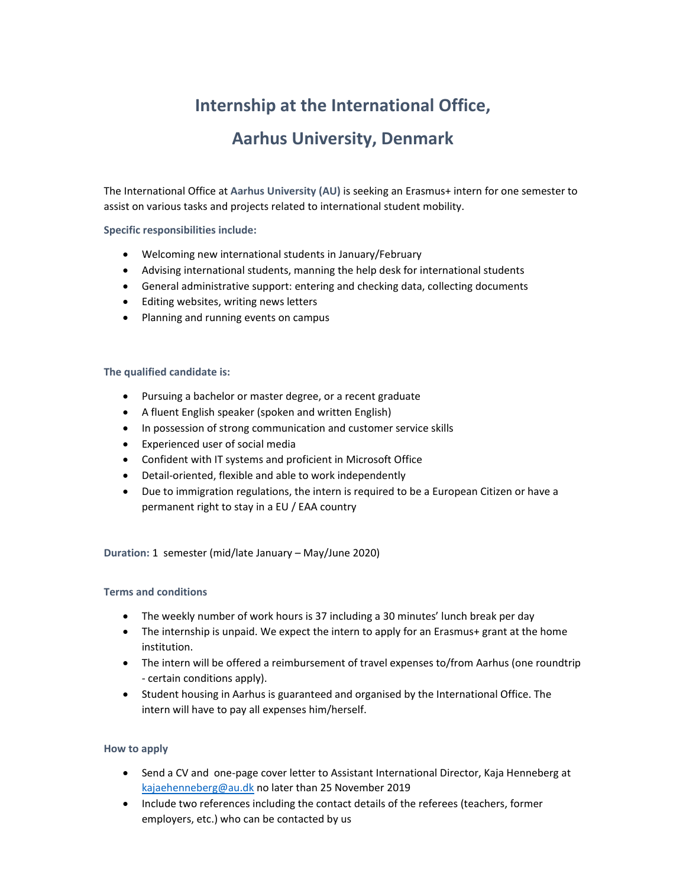# **Internship at the International Office,**

## **Aarhus University, Denmark**

The International Office at **Aarhus University (AU)** is seeking an Erasmus+ intern for one semester to assist on various tasks and projects related to international student mobility.

### **Specific responsibilities include:**

- Welcoming new international students in January/February
- Advising international students, manning the help desk for international students
- General administrative support: entering and checking data, collecting documents
- Editing websites, writing news letters
- Planning and running events on campus

### **The qualified candidate is:**

- Pursuing a bachelor or master degree, or a recent graduate
- A fluent English speaker (spoken and written English)
- In possession of strong communication and customer service skills
- Experienced user of social media
- Confident with IT systems and proficient in Microsoft Office
- Detail-oriented, flexible and able to work independently
- Due to immigration regulations, the intern is required to be a European Citizen or have a permanent right to stay in a EU / EAA country

**Duration:** 1 semester (mid/late January – May/June 2020)

### **Terms and conditions**

- The weekly number of work hours is 37 including a 30 minutes' lunch break per day
- The internship is unpaid. We expect the intern to apply for an Erasmus+ grant at the home institution.
- The intern will be offered a reimbursement of travel expenses to/from Aarhus (one roundtrip ‐ certain conditions apply).
- Student housing in Aarhus is guaranteed and organised by the International Office. The intern will have to pay all expenses him/herself.

### **How to apply**

- Send a CV and one-page cover letter to Assistant International Director, Kaja Henneberg at kajaehenneberg@au.dk no later than 25 November 2019
- Include two references including the contact details of the referees (teachers, former employers, etc.) who can be contacted by us